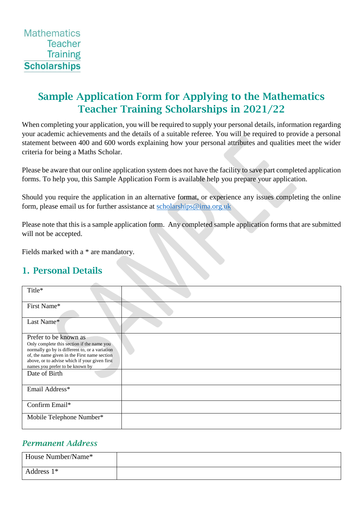# Sample Application Form for Applying to the Mathematics Teacher Training Scholarships in 2021/22

When completing your application, you will be required to supply your personal details, information regarding your academic achievements and the details of a suitable referee. You will be required to provide a personal statement between 400 and 600 words explaining how your personal attributes and qualities meet the wider criteria for being a Maths Scholar.

Please be aware that our online application system does not have the facility to save part completed application forms. To help you, this Sample Application Form is available help you prepare your application.

Should you require the application in an alternative format, or experience any issues completing the online form, please email us for further assistance at [scholarships@ima.org.uk](mailto:scholarships@ima.org.uk)

Please note that this is a sample application form. Any completed sample application forms that are submitted will not be accepted.

Fields marked with a \* are mandatory.

# 1. Personal Details

| Title*                                                                                                                                                                                                                                                    |  |
|-----------------------------------------------------------------------------------------------------------------------------------------------------------------------------------------------------------------------------------------------------------|--|
| First Name*                                                                                                                                                                                                                                               |  |
| Last Name*                                                                                                                                                                                                                                                |  |
| Prefer to be known as<br>Only complete this section if the name you<br>normally go by is different to, or a variation<br>of, the name given in the First name section<br>above, or to advise which if your given first<br>names you prefer to be known by |  |
| Date of Birth                                                                                                                                                                                                                                             |  |
| Email Address*                                                                                                                                                                                                                                            |  |
| Confirm Email*                                                                                                                                                                                                                                            |  |
| Mobile Telephone Number*                                                                                                                                                                                                                                  |  |

### *Permanent Address*

| House Number/Name* |  |
|--------------------|--|
| Address $1*$       |  |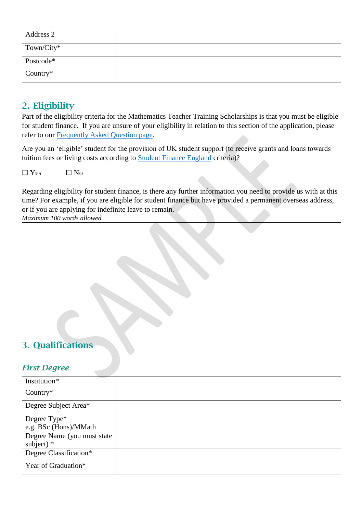| Address 2  |  |
|------------|--|
| Town/City* |  |
| Postcode*  |  |
| Country*   |  |

## 2. Eligibility

Part of the eligibility criteria for the Mathematics Teacher Training Scholarships is that you must be eligible for student finance. If you are unsure of your eligibility in relation to this section of the application, please refer to our [Frequently Asked Question page.](http://teachingmathsscholars.org/faqs)

Are you an 'eligible' student for the provision of UK student support (to receive grants and loans towards tuition fees or living costs according to **Student Finance England criteria**)?

 $\Box$  Yes  $\Box$  No

Regarding eligibility for student finance, is there any further information you need to provide us with at this time? For example, if you are eligible for student finance but have provided a permanent overseas address, or if you are applying for indefinite leave to remain.

*Maximum 100 words allowed*

# 3. Qualifications

### *First Degree*

| Institution*                |  |
|-----------------------------|--|
| Country $*$                 |  |
| Degree Subject Area*        |  |
| Degree Type*                |  |
| e.g. BSc (Hons)/MMath       |  |
| Degree Name (you must state |  |
| subject) $*$                |  |
| Degree Classification*      |  |
| Year of Graduation*         |  |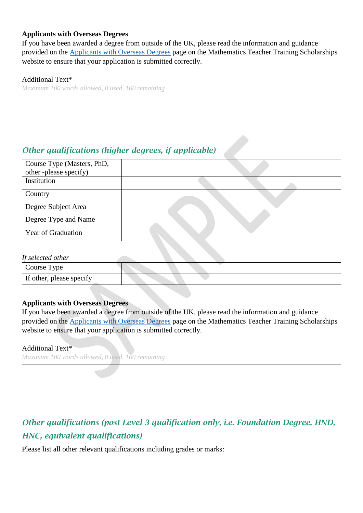#### **Applicants with Overseas Degrees**

If you have been awarded a degree from outside of the UK, please read the information and guidance provided on the [Applicants with Overseas Degrees](http://teachingmathsscholars.org/newsandevents/applicantswithoverseasdegrees) page on the Mathematics Teacher Training Scholarships website to ensure that your application is submitted correctly.

#### Additional Text\*

*Maximum 100 words allowed, 0 used, 100 remaining*

## *Other qualifications (higher degrees, if applicable)*

| Course Type (Masters, PhD,<br>other-please specify) |  |
|-----------------------------------------------------|--|
| Institution                                         |  |
| Country                                             |  |
| Degree Subject Area                                 |  |
| Degree Type and Name                                |  |
| Year of Graduation                                  |  |

#### *If selected other*

| -. - - - - - - - - - - - - - - |  |
|--------------------------------|--|
| Course Type                    |  |
| If other, please specify       |  |

#### **Applicants with Overseas Degrees**

If you have been awarded a degree from outside of the UK, please read the information and guidance provided on the [Applicants with Overseas Degrees](http://teachingmathsscholars.org/newsandevents/applicantswithoverseasdegrees) page on the Mathematics Teacher Training Scholarships website to ensure that your application is submitted correctly.

#### Additional Text\*

*Maximum 100 words allowed, 0 used, 100 remaining*

# *Other qualifications (post Level 3 qualification only, i.e. Foundation Degree, HND, HNC, equivalent qualifications)*

Please list all other relevant qualifications including grades or marks: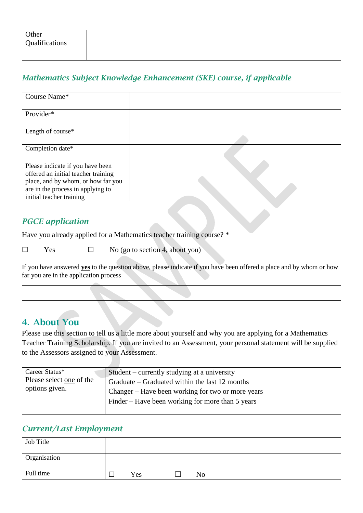## *Mathematics Subject Knowledge Enhancement (SKE) course, if applicable*

| Course Name*                                                                                                                                                                   |  |
|--------------------------------------------------------------------------------------------------------------------------------------------------------------------------------|--|
| Provider*                                                                                                                                                                      |  |
| Length of course*                                                                                                                                                              |  |
| Completion date*                                                                                                                                                               |  |
| Please indicate if you have been<br>offered an initial teacher training<br>place, and by whom, or how far you<br>are in the process in applying to<br>initial teacher training |  |

## *PGCE application*

Have you already applied for a Mathematics teacher training course? \*

 $\Box$  Yes  $\Box$  No (go to section 4, about you)

If you have answered **yes** to the question above, please indicate if you have been offered a place and by whom or how far you are in the application process

## 4. About You

Please use this section to tell us a little more about yourself and why you are applying for a Mathematics Teacher Training Scholarship. If you are invited to an Assessment, your personal statement will be supplied to the Assessors assigned to your Assessment.

| Career Status*           | Student – currently studying at a university      |
|--------------------------|---------------------------------------------------|
| Please select one of the | Graduate – Graduated within the last 12 months    |
| options given.           | Changer – Have been working for two or more years |
|                          | Finder – Have been working for more than 5 years  |

#### *Current/Last Employment*

| Job Title    |     |  |    |  |
|--------------|-----|--|----|--|
| Organisation |     |  |    |  |
| Full time    | Yes |  | No |  |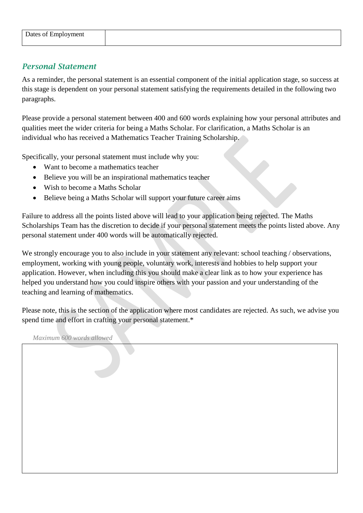### *Personal Statement*

As a reminder, the personal statement is an essential component of the initial application stage, so success at this stage is dependent on your personal statement satisfying the requirements detailed in the following two paragraphs.

Please provide a personal statement between 400 and 600 words explaining how your personal attributes and qualities meet the wider criteria for being a Maths Scholar. For clarification, a Maths Scholar is an individual who has received a Mathematics Teacher Training Scholarship.

Specifically, your personal statement must include why you:

- Want to become a mathematics teacher
- Believe you will be an inspirational mathematics teacher
- Wish to become a Maths Scholar
- Believe being a Maths Scholar will support your future career aims

Failure to address all the points listed above will lead to your application being rejected. The Maths Scholarships Team has the discretion to decide if your personal statement meets the points listed above. Any personal statement under 400 words will be automatically rejected.

We strongly encourage you to also include in your statement any relevant: school teaching / observations, employment, working with young people, voluntary work, interests and hobbies to help support your application. However, when including this you should make a clear link as to how your experience has helped you understand how you could inspire others with your passion and your understanding of the teaching and learning of mathematics.

Please note, this is the section of the application where most candidates are rejected. As such, we advise you spend time and effort in crafting your personal statement.\*

*Maximum 600 words allowed*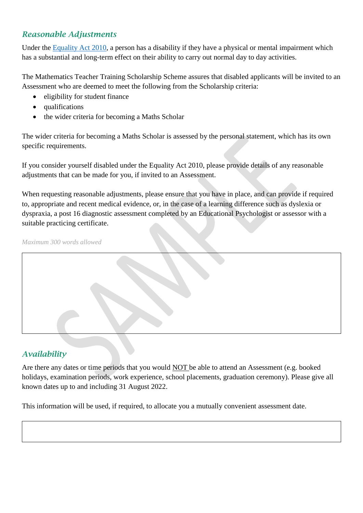### *Reasonable Adjustments*

Under the [Equality Act 2010,](https://www.gov.uk/guidance/equality-act-2010-guidance) a person has a disability if they have a physical or mental impairment which has a substantial and long-term effect on their ability to carry out normal day to day activities.

The Mathematics Teacher Training Scholarship Scheme assures that disabled applicants will be invited to an Assessment who are deemed to meet the following from the Scholarship criteria:

- eligibility for student finance
- qualifications
- the wider criteria for becoming a Maths Scholar

The wider criteria for becoming a Maths Scholar is assessed by the personal statement, which has its own specific requirements.

If you consider yourself disabled under the Equality Act 2010, please provide details of any reasonable adjustments that can be made for you, if invited to an Assessment.

When requesting reasonable adjustments, please ensure that you have in place, and can provide if required to, appropriate and recent medical evidence, or, in the case of a learning difference such as dyslexia or dyspraxia, a post 16 diagnostic assessment completed by an Educational Psychologist or assessor with a suitable practicing certificate.

*Maximum 300 words allowed*

### *Availability*

Are there any dates or time periods that you would NOT be able to attend an Assessment (e.g. booked holidays, examination periods, work experience, school placements, graduation ceremony). Please give all known dates up to and including 31 August 2022.

This information will be used, if required, to allocate you a mutually convenient assessment date.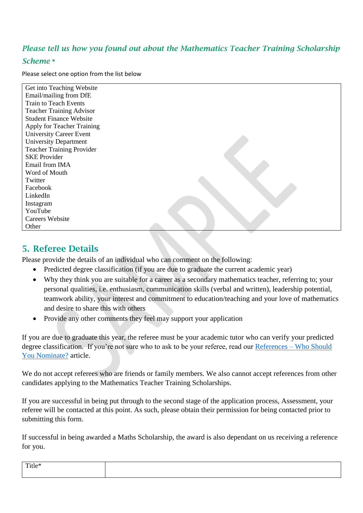## *Please tell us how you found out about the Mathematics Teacher Training Scholarship*

#### *Scheme \**

Please select one option from the list below

| Get into Teaching Website        |  |
|----------------------------------|--|
| Email/mailing from DfE           |  |
| <b>Train to Teach Events</b>     |  |
| <b>Teacher Training Advisor</b>  |  |
| <b>Student Finance Website</b>   |  |
| Apply for Teacher Training       |  |
| <b>University Career Event</b>   |  |
| <b>University Department</b>     |  |
| <b>Teacher Training Provider</b> |  |
| <b>SKE Provider</b>              |  |
| Email from IMA                   |  |
| Word of Mouth                    |  |
| Twitter                          |  |
| Facebook                         |  |
| LinkedIn                         |  |
| Instagram                        |  |
| YouTube                          |  |
| <b>Careers Website</b>           |  |
| Other                            |  |
|                                  |  |

# 5. Referee Details

Please provide the details of an individual who can comment on the following:

- Predicted degree classification (if you are due to graduate the current academic year)
- Why they think you are suitable for a career as a secondary mathematics teacher, referring to; your personal qualities, i.e. enthusiasm, communication skills (verbal and written), leadership potential, teamwork ability, your interest and commitment to education/teaching and your love of mathematics and desire to share this with others
- Provide any other comments they feel may support your application

If you are due to graduate this year, the referee must be your academic tutor who can verify your predicted degree classification. If you're not sure who to ask to be your referee, read our [References –](http://teachingmathsscholars.org/newsandevents/referenceswhotonominate) Who Should [You Nominate?](http://teachingmathsscholars.org/newsandevents/referenceswhotonominate) article.

We do not accept referees who are friends or family members. We also cannot accept references from other candidates applying to the Mathematics Teacher Training Scholarships.

If you are successful in being put through to the second stage of the application process, Assessment, your referee will be contacted at this point. As such, please obtain their permission for being contacted prior to submitting this form.

If successful in being awarded a Maths Scholarship, the award is also dependant on us receiving a reference for you.

| $T = 1$<br>- 14<br>$11$ tle $\tau$ |  |
|------------------------------------|--|
|                                    |  |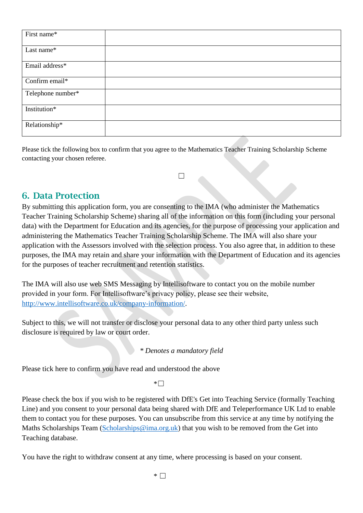| First name*       |  |
|-------------------|--|
| Last name*        |  |
| Email address*    |  |
| Confirm email*    |  |
| Telephone number* |  |
| Institution*      |  |
| Relationship*     |  |

Please tick the following box to confirm that you agree to the Mathematics Teacher Training Scholarship Scheme contacting your chosen referee.

 $\Box$ 

## 6. Data Protection

By submitting this application form, you are consenting to the IMA (who administer the Mathematics Teacher Training Scholarship Scheme) sharing all of the information on this form (including your personal data) with the Department for Education and its agencies, for the purpose of processing your application and administering the Mathematics Teacher Training Scholarship Scheme. The IMA will also share your application with the Assessors involved with the selection process. You also agree that, in addition to these purposes, the IMA may retain and share your information with the Department of Education and its agencies for the purposes of teacher recruitment and retention statistics.

The IMA will also use web SMS Messaging by Intellisoftware to contact you on the mobile number provided in your form. For Intellisoftware's privacy policy, please see their website, [http://www.intellisoftware.co.uk/company-information/.](http://www.intellisoftware.co.uk/company-information/)

Subject to this, we will not transfer or disclose your personal data to any other third party unless such disclosure is required by law or court order.

*\* Denotes a mandatory field*

Please tick here to confirm you have read and understood the above

 $*$ 

Please check the box if you wish to be registered with DfE's Get into Teaching Service (formally Teaching Line) and you consent to your personal data being shared with DfE and Teleperformance UK Ltd to enable them to contact you for these purposes. You can unsubscribe from this service at any time by notifying the Maths Scholarships Team [\(Scholarships@ima.org.uk\)](mailto:Scholarships@ima.org.uk) that you wish to be removed from the Get into Teaching database.

You have the right to withdraw consent at any time, where processing is based on your consent.